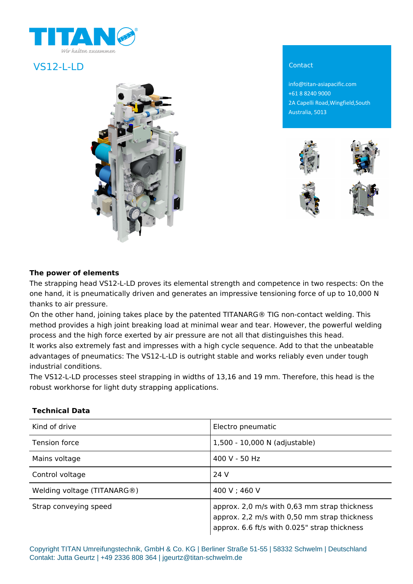

# VS12-L-LD Contact



info@titan-asiapacific.com +61 8 8240 9000 2A Capelli Road,Wingfield,South Australia, 5013



### **The power of elements**

The strapping head VS12-L-LD proves its elemental strength and competence in two respects: On the one hand, it is pneumatically driven and generates an impressive tensioning force of up to 10,000 N thanks to air pressure.

On the other hand, joining takes place by the patented TITANARG® TIG non-contact welding. This method provides a high joint breaking load at minimal wear and tear. However, the powerful welding process and the high force exerted by air pressure are not all that distinguishes this head. It works also extremely fast and impresses with a high cycle sequence. Add to that the unbeatable advantages of pneumatics: The VS12-L-LD is outright stable and works reliably even under tough industrial conditions.

The VS12-L-LD processes steel strapping in widths of 13,16 and 19 mm. Therefore, this head is the robust workhorse for light duty strapping applications.

| Kind of drive               | Electro pneumatic                                                                                                                            |
|-----------------------------|----------------------------------------------------------------------------------------------------------------------------------------------|
| Tension force               | 1,500 - 10,000 N (adjustable)                                                                                                                |
| Mains voltage               | 400 V - 50 Hz                                                                                                                                |
| Control voltage             | 24 V                                                                                                                                         |
| Welding voltage (TITANARG®) | 400 V ; 460 V                                                                                                                                |
| Strap conveying speed       | approx. 2,0 m/s with 0,63 mm strap thickness<br>approx. 2,2 m/s with 0,50 mm strap thickness<br>approx. 6.6 ft/s with 0.025" strap thickness |

#### **Technical Data**